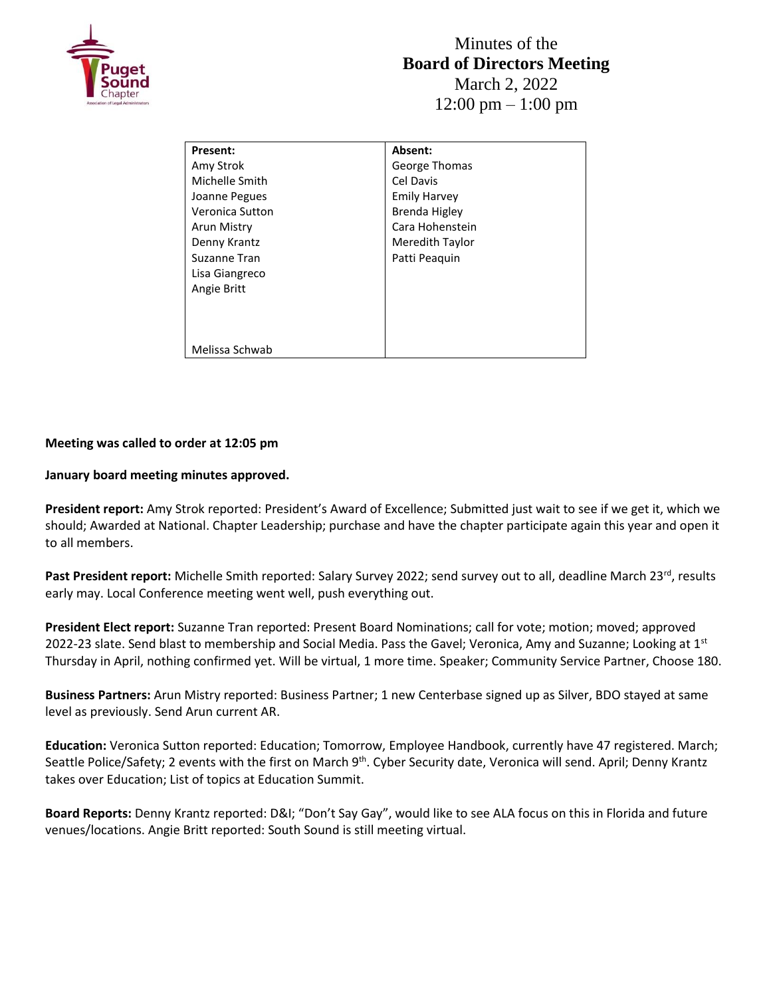

| Present:        | Absent:             |
|-----------------|---------------------|
| Amy Strok       | George Thomas       |
| Michelle Smith  | Cel Davis           |
| Joanne Pegues   | <b>Emily Harvey</b> |
| Veronica Sutton | Brenda Higley       |
| Arun Mistry     | Cara Hohenstein     |
| Denny Krantz    | Meredith Taylor     |
| Suzanne Tran    | Patti Peaguin       |
| Lisa Giangreco  |                     |
| Angie Britt     |                     |
|                 |                     |
|                 |                     |
|                 |                     |
| Melissa Schwab  |                     |

## **Meeting was called to order at 12:05 pm**

## **January board meeting minutes approved.**

**President report:** Amy Strok reported: President's Award of Excellence; Submitted just wait to see if we get it, which we should; Awarded at National. Chapter Leadership; purchase and have the chapter participate again this year and open it to all members.

Past President report: Michelle Smith reported: Salary Survey 2022; send survey out to all, deadline March 23<sup>rd</sup>, results early may. Local Conference meeting went well, push everything out.

**President Elect report:** Suzanne Tran reported: Present Board Nominations; call for vote; motion; moved; approved 2022-23 slate. Send blast to membership and Social Media. Pass the Gavel; Veronica, Amy and Suzanne; Looking at  $1^{st}$ Thursday in April, nothing confirmed yet. Will be virtual, 1 more time. Speaker; Community Service Partner, Choose 180.

**Business Partners:** Arun Mistry reported: Business Partner; 1 new Centerbase signed up as Silver, BDO stayed at same level as previously. Send Arun current AR.

**Education:** Veronica Sutton reported: Education; Tomorrow, Employee Handbook, currently have 47 registered. March; Seattle Police/Safety; 2 events with the first on March 9<sup>th</sup>. Cyber Security date, Veronica will send. April; Denny Krantz takes over Education; List of topics at Education Summit.

**Board Reports:** Denny Krantz reported: D&I; "Don't Say Gay", would like to see ALA focus on this in Florida and future venues/locations. Angie Britt reported: South Sound is still meeting virtual.